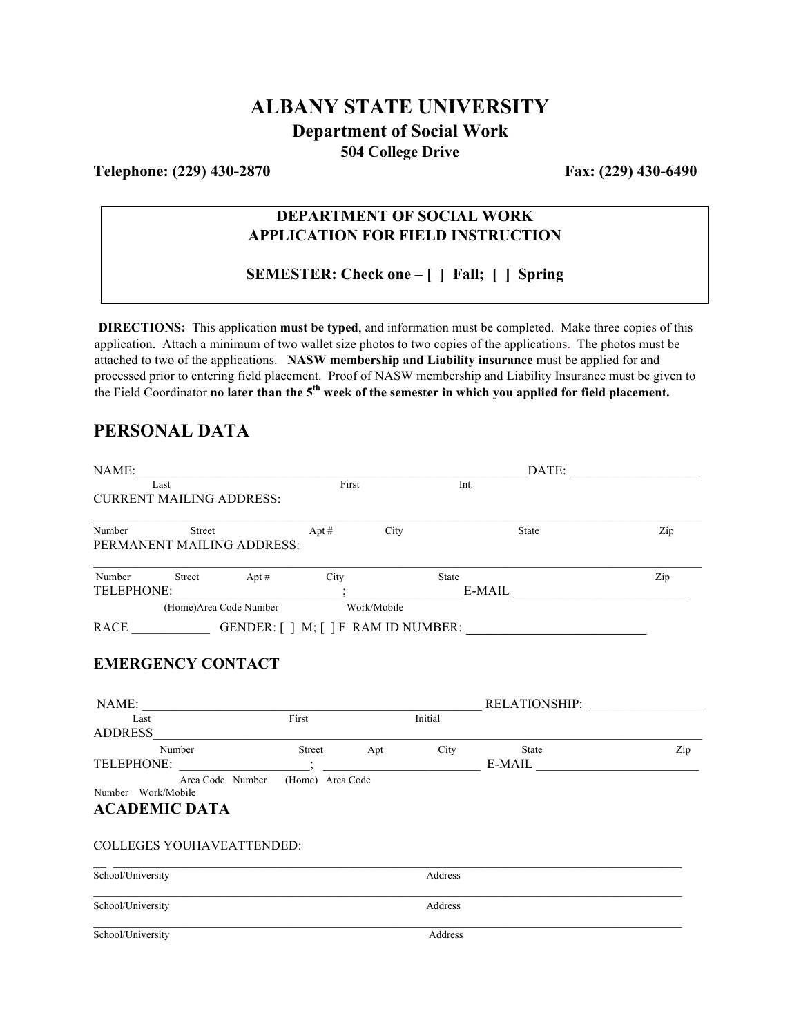## **ALBANY STATE UNIVERSITY Department of Social Work 504 College Drive**

**Telephone: (229) 430-2870 Fax: (229) 430-6490** 

### **DEPARTMENT OF SOCIAL WORK APPLICATION FOR FIELD INSTRUCTION**

**SEMESTER: Check one – [ ] Fall; [ ] Spring**

**DIRECTIONS:** This application **must be typed**, and information must be completed. Make three copies of this application. Attach a minimum of two wallet size photos to two copies of the applications. The photos must be attached to two of the applications. **NASW membership and Liability insurance** must be applied for and processed prior to entering field placement. Proof of NASW membership and Liability Insurance must be given to the Field Coordinator **no later than the 5th week of the semester in which you applied for field placement.**

## **PERSONAL DATA**

| NAME:                            |                                     |                  |      |         |                                                                                  |     |
|----------------------------------|-------------------------------------|------------------|------|---------|----------------------------------------------------------------------------------|-----|
| Last                             |                                     | First            |      | Int.    |                                                                                  |     |
| <b>CURRENT MAILING ADDRESS:</b>  |                                     |                  |      |         |                                                                                  |     |
| Number Street Apt #              |                                     |                  | City |         | State                                                                            | Zip |
| PERMANENT MAILING ADDRESS:       |                                     |                  |      |         |                                                                                  |     |
| Number Street Apt # City         |                                     |                  |      | State   |                                                                                  | Zip |
|                                  |                                     |                  |      |         |                                                                                  |     |
|                                  | (Home) Area Code Number Work/Mobile |                  |      |         |                                                                                  |     |
|                                  |                                     |                  |      |         | RACE _________________GENDER: [ ] M; [ ] F RAM ID NUMBER: ______________________ |     |
|                                  |                                     |                  |      |         |                                                                                  |     |
| <b>EMERGENCY CONTACT</b>         |                                     |                  |      |         |                                                                                  |     |
|                                  |                                     |                  |      |         |                                                                                  |     |
|                                  |                                     |                  |      |         |                                                                                  |     |
|                                  |                                     |                  |      |         | RELATIONSHIP:                                                                    |     |
| Last                             | First                               |                  |      | Initial |                                                                                  |     |
| <b>ADDRESS</b>                   |                                     |                  |      |         |                                                                                  |     |
| Number                           |                                     | Street Apt City  |      |         | State                                                                            | Zip |
|                                  |                                     |                  |      |         | $E-MAIL$                                                                         |     |
| Number Work/Mobile               | Area Code Number                    | (Home) Area Code |      |         |                                                                                  |     |
| <b>ACADEMIC DATA</b>             |                                     |                  |      |         |                                                                                  |     |
|                                  |                                     |                  |      |         |                                                                                  |     |
|                                  |                                     |                  |      |         |                                                                                  |     |
| <b>COLLEGES YOUHAVEATTENDED:</b> |                                     |                  |      |         |                                                                                  |     |
|                                  |                                     |                  |      |         |                                                                                  |     |
| School/University                |                                     |                  |      | Address |                                                                                  |     |
| School/University                |                                     |                  |      | Address |                                                                                  |     |
|                                  |                                     |                  |      |         |                                                                                  |     |
| School/University                |                                     |                  |      | Address |                                                                                  |     |
|                                  |                                     |                  |      |         |                                                                                  |     |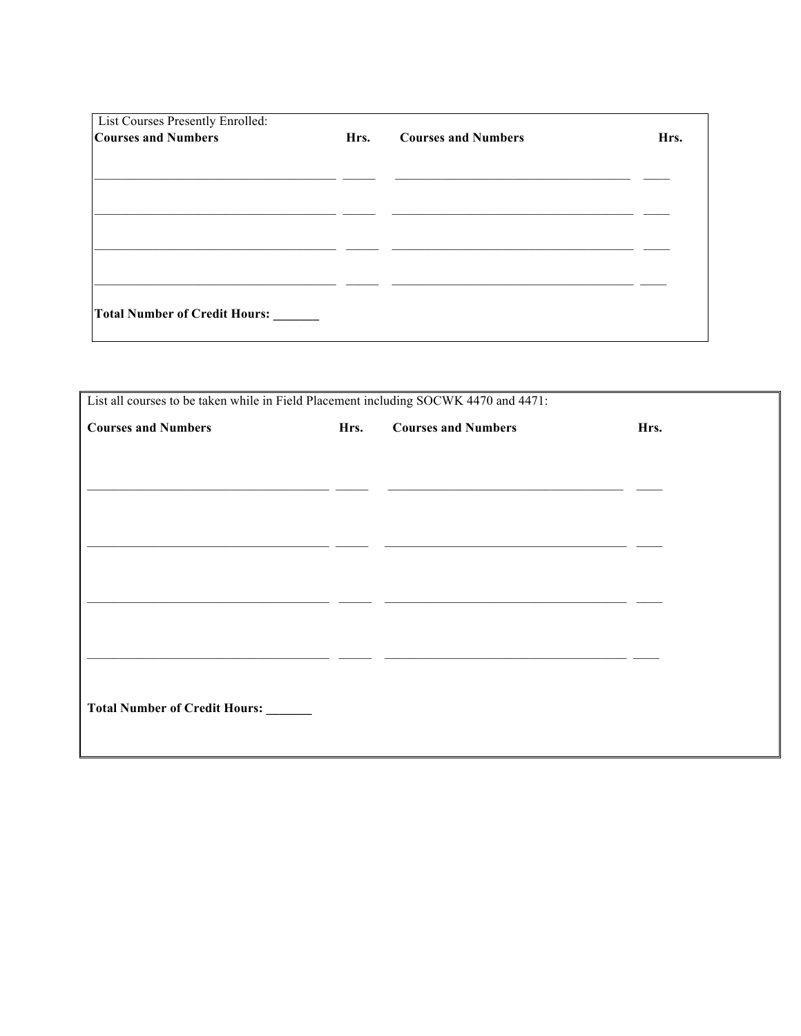| List Courses Presently Enrolled:<br><b>Courses and Numbers</b> | Hrs. | <b>Courses and Numbers</b> | Hrs. |
|----------------------------------------------------------------|------|----------------------------|------|
|                                                                |      |                            |      |
|                                                                |      |                            |      |
|                                                                |      |                            |      |
| Total Number of Credit Hours:                                  |      |                            |      |

| List all courses to be taken while in Field Placement including SOCWK 4470 and 4471: |      |                            |      |
|--------------------------------------------------------------------------------------|------|----------------------------|------|
| <b>Courses and Numbers</b>                                                           | Hrs. | <b>Courses and Numbers</b> | Hrs. |
|                                                                                      |      |                            |      |
|                                                                                      |      |                            |      |
|                                                                                      |      |                            |      |
|                                                                                      |      |                            |      |
|                                                                                      |      |                            |      |
|                                                                                      |      |                            |      |
|                                                                                      |      |                            |      |
|                                                                                      |      |                            |      |
|                                                                                      |      |                            |      |
|                                                                                      |      |                            |      |
| Total Number of Credit Hours:                                                        |      |                            |      |
|                                                                                      |      |                            |      |
|                                                                                      |      |                            |      |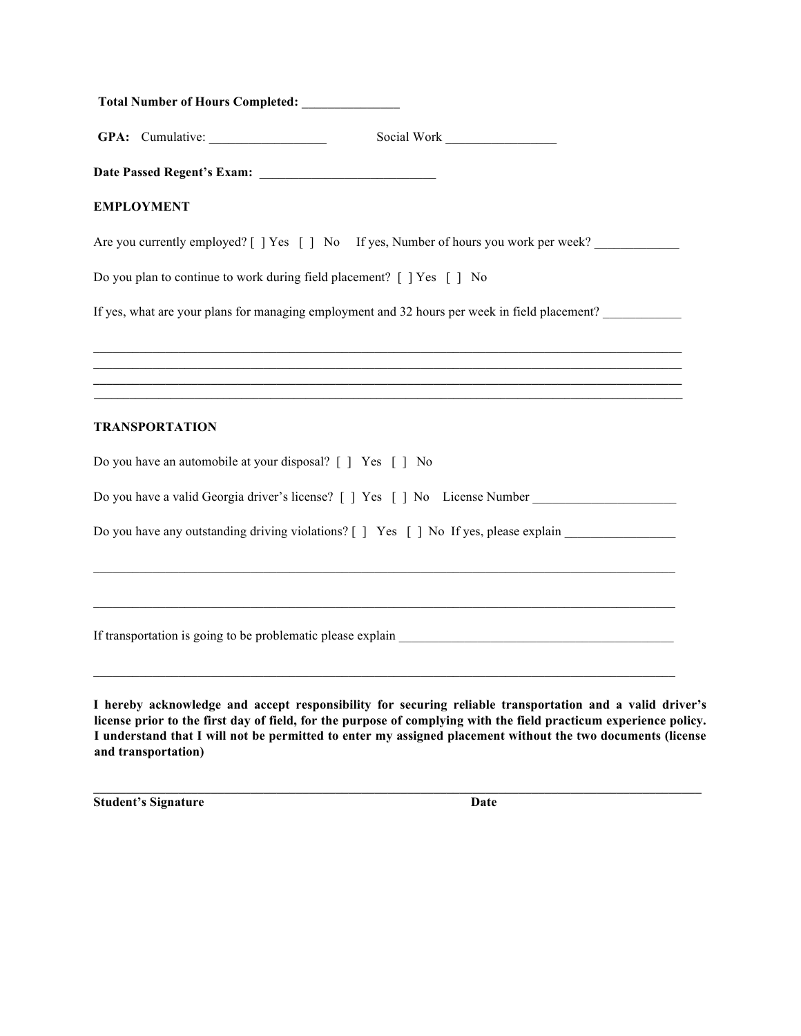|                   | Total Number of Hours Completed: _____________             |                                                                                                                      |
|-------------------|------------------------------------------------------------|----------------------------------------------------------------------------------------------------------------------|
|                   |                                                            | Social Work                                                                                                          |
|                   |                                                            |                                                                                                                      |
| <b>EMPLOYMENT</b> |                                                            |                                                                                                                      |
|                   |                                                            | Are you currently employed? [ ] Yes [ ] No If yes, Number of hours you work per week?                                |
|                   |                                                            | Do you plan to continue to work during field placement? [ ] Yes [ ] No                                               |
|                   |                                                            | If yes, what are your plans for managing employment and 32 hours per week in field placement?                        |
|                   |                                                            |                                                                                                                      |
|                   |                                                            | ,我们也不能会在这里,我们也不能会在这里,我们也不能会在这里,我们也不能会在这里,我们也不能会在这里,我们也不能会在这里,我们也不能会不能会不能会。""我们,我们                                    |
|                   |                                                            | <u> 1989 - Andrea Stadt Barbara, amerikan basar dan berasal dalam berasal dalam basa dalam basa dalam berasal da</u> |
|                   | <b>TRANSPORTATION</b>                                      |                                                                                                                      |
|                   | Do you have an automobile at your disposal? [ ] Yes [ ] No |                                                                                                                      |
|                   |                                                            | Do you have a valid Georgia driver's license? [ ] Yes [ ] No License Number ________________________                 |
|                   |                                                            | Do you have any outstanding driving violations? [ ] Yes [ ] No If yes, please explain                                |
|                   |                                                            |                                                                                                                      |
|                   |                                                            |                                                                                                                      |

If transportation is going to be problematic please explain \_\_\_\_\_\_\_\_\_\_\_\_\_\_\_\_\_\_\_\_\_\_\_\_\_\_\_\_\_\_\_\_\_\_\_\_\_\_\_\_\_\_

**I hereby acknowledge and accept responsibility for securing reliable transportation and a valid driver's license prior to the first day of field, for the purpose of complying with the field practicum experience policy. I understand that I will not be permitted to enter my assigned placement without the two documents (license and transportation)** 

**\_\_\_\_\_\_\_\_\_\_\_\_\_\_\_\_\_\_\_\_\_\_\_\_\_\_\_\_\_\_\_\_\_\_\_\_\_\_\_\_\_\_\_\_\_\_\_\_\_\_\_\_\_\_\_\_\_\_\_\_\_\_\_\_\_\_\_\_\_\_\_\_\_\_\_\_\_\_\_\_\_\_\_\_\_\_\_\_\_\_\_\_\_**

**Student's Signature Date**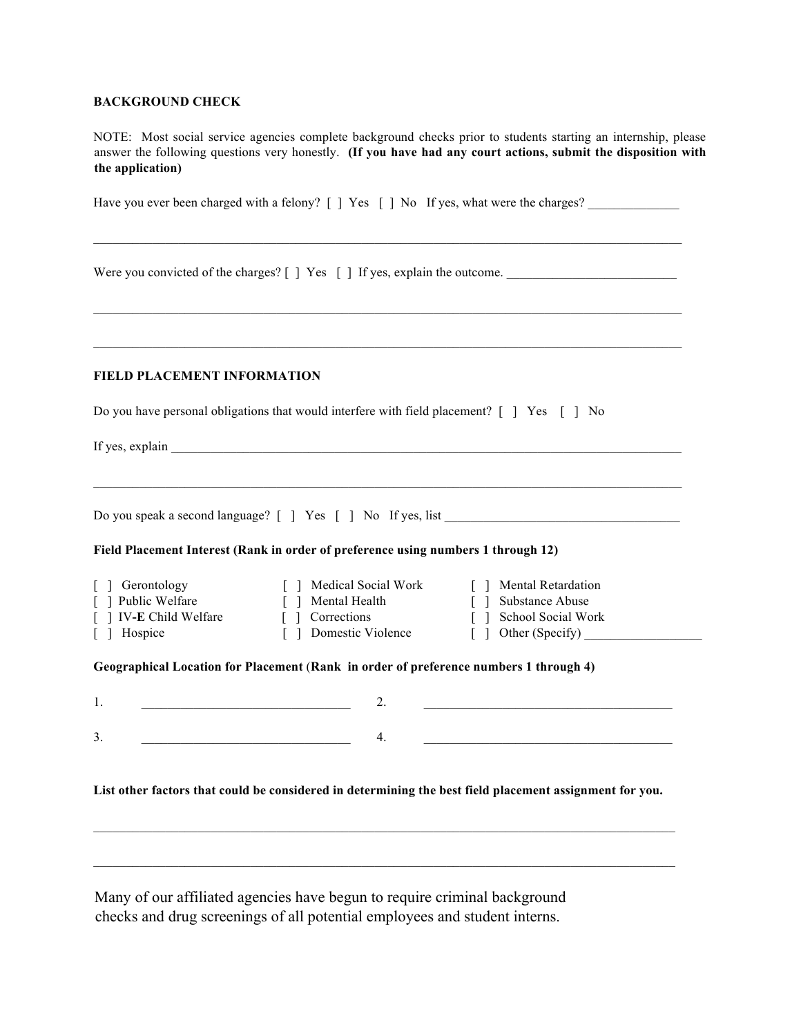#### **BACKGROUND CHECK**

NOTE: Most social service agencies complete background checks prior to students starting an internship, please answer the following questions very honestly. **(If you have had any court actions, submit the disposition with the application)**

|                                                                                |                                                                                                                                                    | Have you ever been charged with a felony? $\lceil \cdot \rceil$ Yes $\lceil \cdot \rceil$ No If yes, what were the charges?                  |
|--------------------------------------------------------------------------------|----------------------------------------------------------------------------------------------------------------------------------------------------|----------------------------------------------------------------------------------------------------------------------------------------------|
|                                                                                |                                                                                                                                                    | Were you convicted of the charges? [ ] Yes [ ] If yes, explain the outcome.                                                                  |
|                                                                                |                                                                                                                                                    |                                                                                                                                              |
| <b>FIELD PLACEMENT INFORMATION</b>                                             |                                                                                                                                                    |                                                                                                                                              |
|                                                                                | Do you have personal obligations that would interfere with field placement? $\begin{bmatrix} \end{bmatrix}$ Yes $\begin{bmatrix} \end{bmatrix}$ No |                                                                                                                                              |
|                                                                                |                                                                                                                                                    |                                                                                                                                              |
|                                                                                | Field Placement Interest (Rank in order of preference using numbers 1 through 12)                                                                  |                                                                                                                                              |
| [ ] Gerontology<br>[ ] Public Welfare<br>[ ] IV-E Child Welfare<br>[ ] Hospice | [ ] Medical Social Work<br>Mental Health<br>[ ] Corrections<br>[ ] Domestic Violence                                                               | [ ] Mental Retardation<br>Substance Abuse<br>$\lceil \rceil$<br>School Social Work<br>$\begin{bmatrix} \end{bmatrix}$<br>[ ] Other (Specify) |
|                                                                                | Geographical Location for Placement (Rank in order of preference numbers 1 through 4)                                                              |                                                                                                                                              |
| 1.                                                                             | 2.<br><u> 1989 - Johann Barbara, martxa alemaniar a</u>                                                                                            |                                                                                                                                              |
| 3.                                                                             | 4.                                                                                                                                                 |                                                                                                                                              |
|                                                                                |                                                                                                                                                    |                                                                                                                                              |
|                                                                                |                                                                                                                                                    | List other factors that could be considered in determining the best field placement assignment for you.                                      |
|                                                                                |                                                                                                                                                    |                                                                                                                                              |
|                                                                                |                                                                                                                                                    |                                                                                                                                              |
|                                                                                |                                                                                                                                                    |                                                                                                                                              |

Many of our affiliated agencies have begun to require criminal background checks and drug screenings of all potential employees and student interns.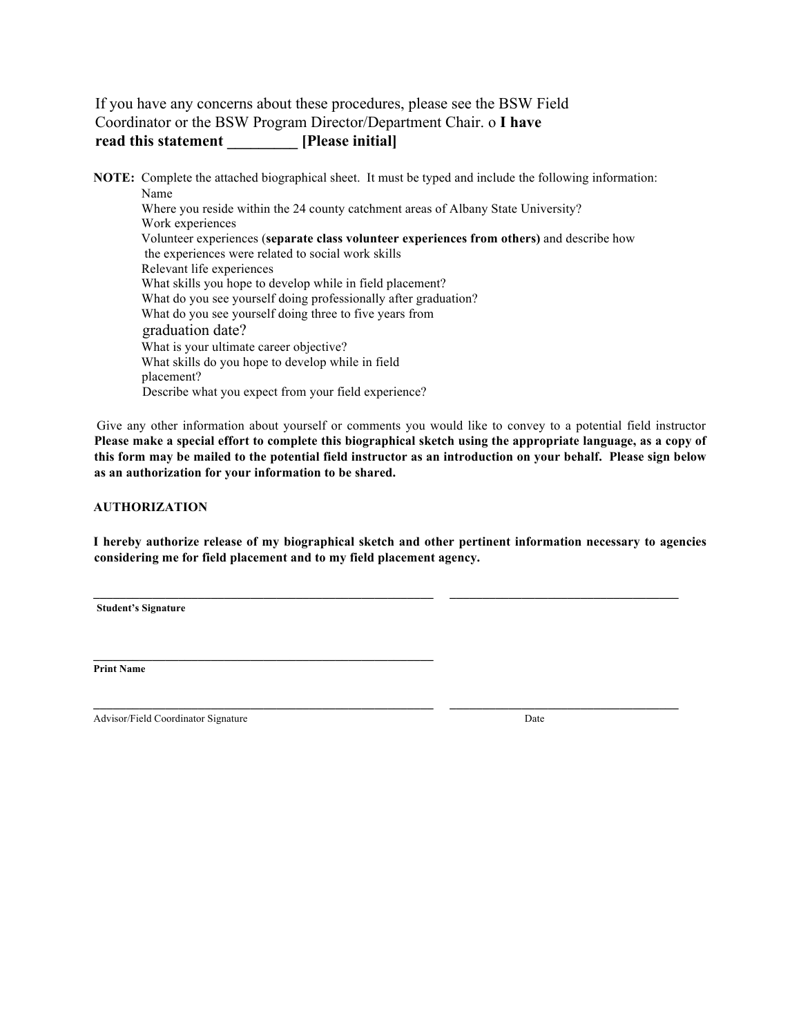### If you have any concerns about these procedures, please see the BSW Field Coordinator or the BSW Program Director/Department Chair. o **I have read this statement \_\_\_\_\_\_\_\_\_ [Please initial]**

**NOTE:** Complete the attached biographical sheet. It must be typed and include the following information: Name Where you reside within the 24 county catchment areas of Albany State University? Work experiences Volunteer experiences (**separate class volunteer experiences from others)** and describe how the experiences were related to social work skills Relevant life experiences What skills you hope to develop while in field placement? What do you see yourself doing professionally after graduation? What do you see yourself doing three to five years from graduation date? What is your ultimate career objective? What skills do you hope to develop while in field placement? Describe what you expect from your field experience?

Give any other information about yourself or comments you would like to convey to a potential field instructor **Please make a special effort to complete this biographical sketch using the appropriate language, as a copy of this form may be mailed to the potential field instructor as an introduction on your behalf. Please sign below as an authorization for your information to be shared.** 

#### **AUTHORIZATION**

**I hereby authorize release of my biographical sketch and other pertinent information necessary to agencies considering me for field placement and to my field placement agency.** 

**\_\_\_\_\_\_\_\_\_\_\_\_\_\_\_\_\_\_\_\_\_\_\_\_\_\_\_\_\_\_\_\_\_\_\_\_\_\_\_\_\_\_\_\_\_\_\_\_\_\_\_\_ \_\_\_\_\_\_\_\_\_\_\_\_\_\_\_\_\_\_\_\_\_\_\_\_\_\_\_\_\_\_\_\_\_\_\_** 

 $\mathcal{L}_\mathcal{L}$ 

**Student's Signature** 

**Print Name**

Advisor/Field Coordinator Signature Date **Date** 

 $\mathcal{L} = \{ \mathcal{L} \mid \mathcal{L} \in \mathcal{L} \}$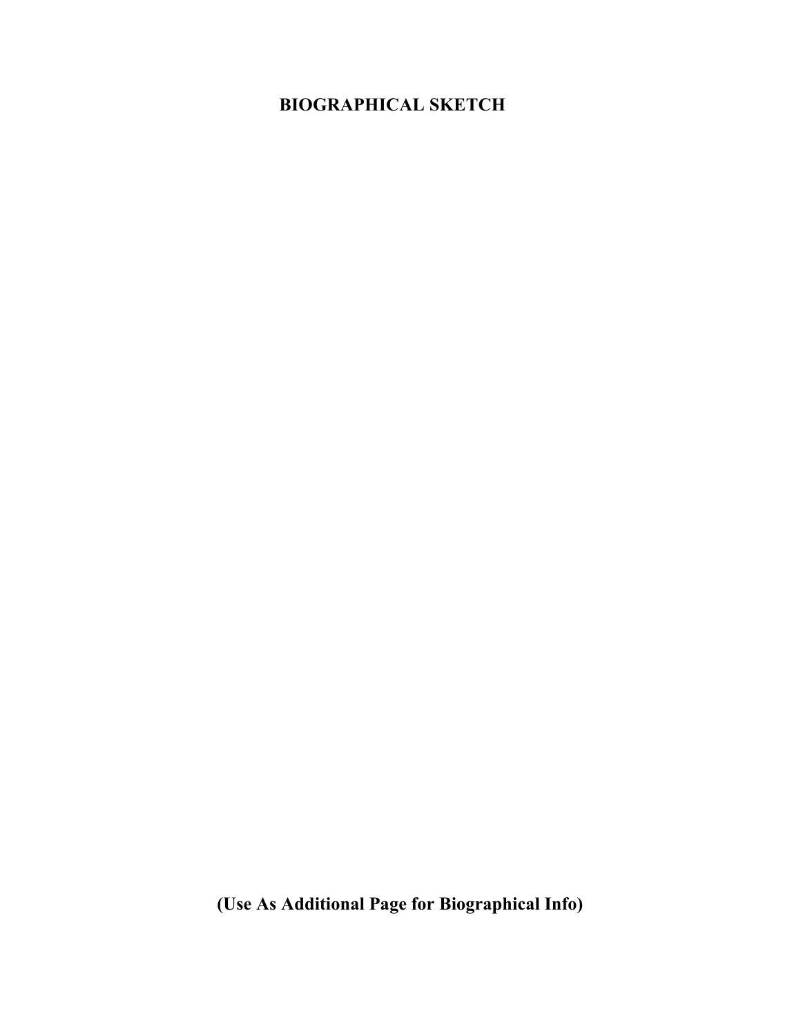# **BIOGRAPHICAL SKETCH**

**(Use As Additional Page for Biographical Info)**